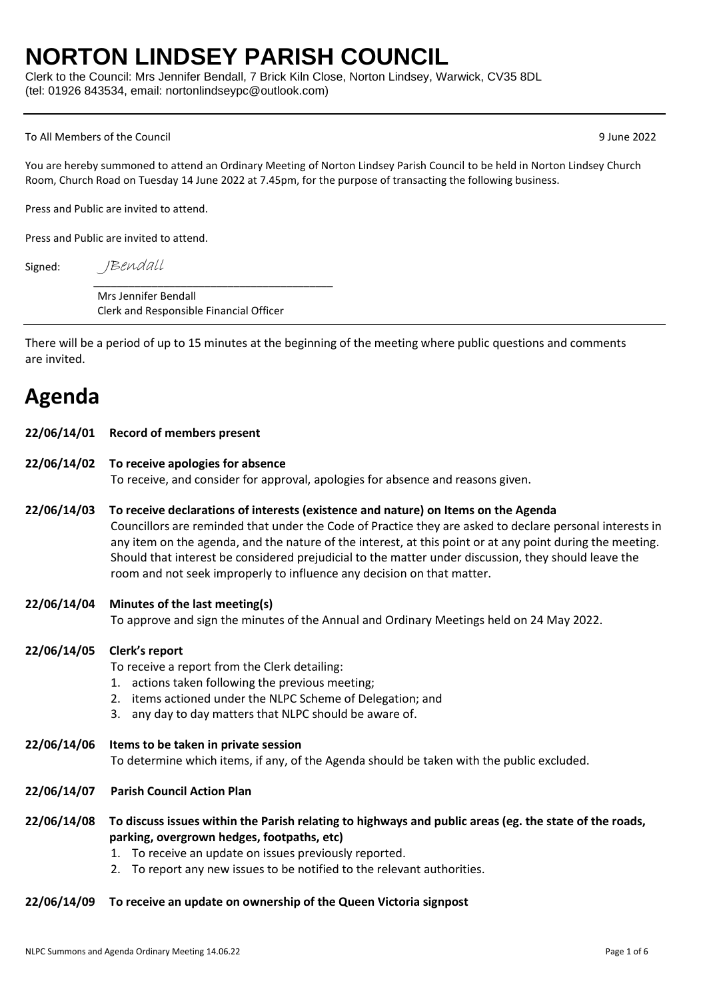## **NORTON LINDSEY PARISH COUNCIL**

Clerk to the Council: Mrs Jennifer Bendall, 7 Brick Kiln Close, Norton Lindsey, Warwick, CV35 8DL (tel: 01926 843534, email: nortonlindseypc@outlook.com)

#### To All Members of the Council 9 June 2022

You are hereby summoned to attend an Ordinary Meeting of Norton Lindsey Parish Council to be held in Norton Lindsey Church Room, Church Road on Tuesday 14 June 2022 at 7.45pm, for the purpose of transacting the following business.

Press and Public are invited to attend.

Press and Public are invited to attend.

Signed:

JBendall

Mrs Jennifer Bendall Clerk and Responsible Financial Officer

\_\_\_\_\_\_\_\_\_\_\_\_\_\_\_\_\_\_\_\_\_\_\_\_\_\_\_\_\_\_\_\_\_\_\_\_\_\_\_\_\_

There will be a period of up to 15 minutes at the beginning of the meeting where public questions and comments are invited.

## **Agenda**

|  | 22/06/14/01 Record of members present |
|--|---------------------------------------|
|--|---------------------------------------|

- **22/06/14/02 To receive apologies for absence** To receive, and consider for approval, apologies for absence and reasons given.
- **22/06/14/03 To receive declarations of interests (existence and nature) on Items on the Agenda** Councillors are reminded that under the Code of Practice they are asked to declare personal interests in any item on the agenda, and the nature of the interest, at this point or at any point during the meeting. Should that interest be considered prejudicial to the matter under discussion, they should leave the room and not seek improperly to influence any decision on that matter.

### **22/06/14/04 Minutes of the last meeting(s)** To approve and sign the minutes of the Annual and Ordinary Meetings held on 24 May 2022.

### **22/06/14/05 Clerk's report**

To receive a report from the Clerk detailing:

- 1. actions taken following the previous meeting;
- 2. items actioned under the NLPC Scheme of Delegation; and
- 3. any day to day matters that NLPC should be aware of.
- **22/06/14/06 Items to be taken in private session** To determine which items, if any, of the Agenda should be taken with the public excluded.
- **22/06/14/07 Parish Council Action Plan**
- **22/06/14/08 To discuss issues within the Parish relating to highways and public areas (eg. the state of the roads, parking, overgrown hedges, footpaths, etc)** 
	- 1. To receive an update on issues previously reported.
	- 2. To report any new issues to be notified to the relevant authorities.

### **22/06/14/09 To receive an update on ownership of the Queen Victoria signpost**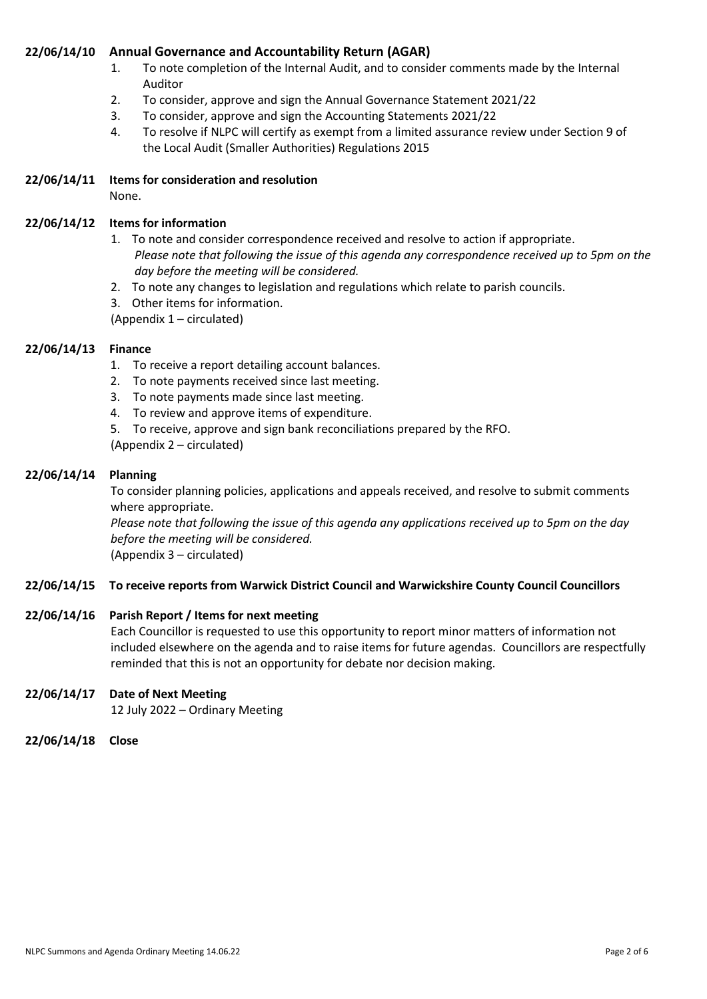### **22/06/14/10 Annual Governance and Accountability Return (AGAR)**

- 1. To note completion of the Internal Audit, and to consider comments made by the Internal Auditor
- 2. To consider, approve and sign the Annual Governance Statement 2021/22
- 3. To consider, approve and sign the Accounting Statements 2021/22
- 4. To resolve if NLPC will certify as exempt from a limited assurance review under Section 9 of the Local Audit (Smaller Authorities) Regulations 2015
- **22/06/14/11 Items for consideration and resolution** None.

### **22/06/14/12 Items for information**

- 1. To note and consider correspondence received and resolve to action if appropriate. *Please note that following the issue of this agenda any correspondence received up to 5pm on the day before the meeting will be considered.*
- 2. To note any changes to legislation and regulations which relate to parish councils.
- 3. Other items for information.

(Appendix 1 – circulated)

### **22/06/14/13 Finance**

- 1. To receive a report detailing account balances.
- 2. To note payments received since last meeting.
- 3. To note payments made since last meeting.
- 4. To review and approve items of expenditure.
- 5. To receive, approve and sign bank reconciliations prepared by the RFO.

(Appendix 2 – circulated)

### **22/06/14/14 Planning**

To consider planning policies, applications and appeals received, and resolve to submit comments where appropriate.

*Please note that following the issue of this agenda any applications received up to 5pm on the day before the meeting will be considered.*

(Appendix 3 – circulated)

### **22/06/14/15 To receive reports from Warwick District Council and Warwickshire County Council Councillors**

### **22/06/14/16 Parish Report / Items for next meeting**

Each Councillor is requested to use this opportunity to report minor matters of information not included elsewhere on the agenda and to raise items for future agendas. Councillors are respectfully reminded that this is not an opportunity for debate nor decision making.

### **22/06/14/17 Date of Next Meeting**

12 July 2022 – Ordinary Meeting

**22/06/14/18 Close**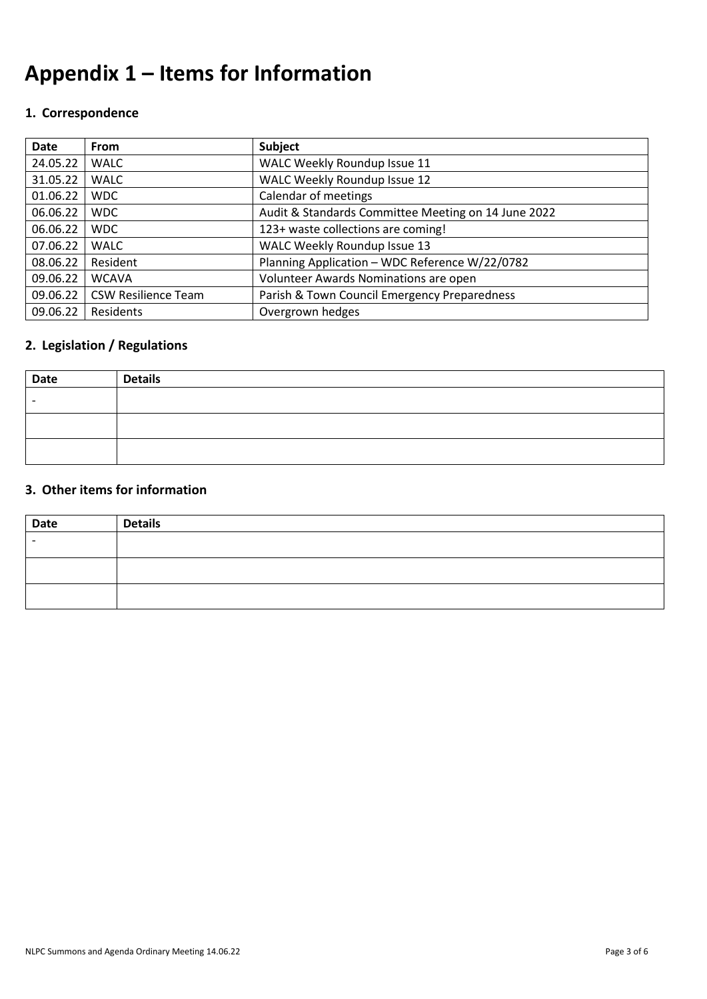# **Appendix 1 – Items for Information**

## **1. Correspondence**

| Date     | <b>From</b>                | Subject                                             |
|----------|----------------------------|-----------------------------------------------------|
| 24.05.22 | <b>WALC</b>                | WALC Weekly Roundup Issue 11                        |
| 31.05.22 | <b>WALC</b>                | WALC Weekly Roundup Issue 12                        |
| 01.06.22 | <b>WDC</b>                 | Calendar of meetings                                |
| 06.06.22 | <b>WDC</b>                 | Audit & Standards Committee Meeting on 14 June 2022 |
| 06.06.22 | <b>WDC</b>                 | 123+ waste collections are coming!                  |
| 07.06.22 | <b>WALC</b>                | <b>WALC Weekly Roundup Issue 13</b>                 |
| 08.06.22 | Resident                   | Planning Application - WDC Reference W/22/0782      |
| 09.06.22 | <b>WCAVA</b>               | Volunteer Awards Nominations are open               |
| 09.06.22 | <b>CSW Resilience Team</b> | Parish & Town Council Emergency Preparedness        |
| 09.06.22 | Residents                  | Overgrown hedges                                    |

## **2. Legislation / Regulations**

| Date | <b>Details</b> |
|------|----------------|
|      |                |
|      |                |
|      |                |

### **3. Other items for information**

| Date | <b>Details</b> |
|------|----------------|
|      |                |
|      |                |
|      |                |
|      |                |
|      |                |
|      |                |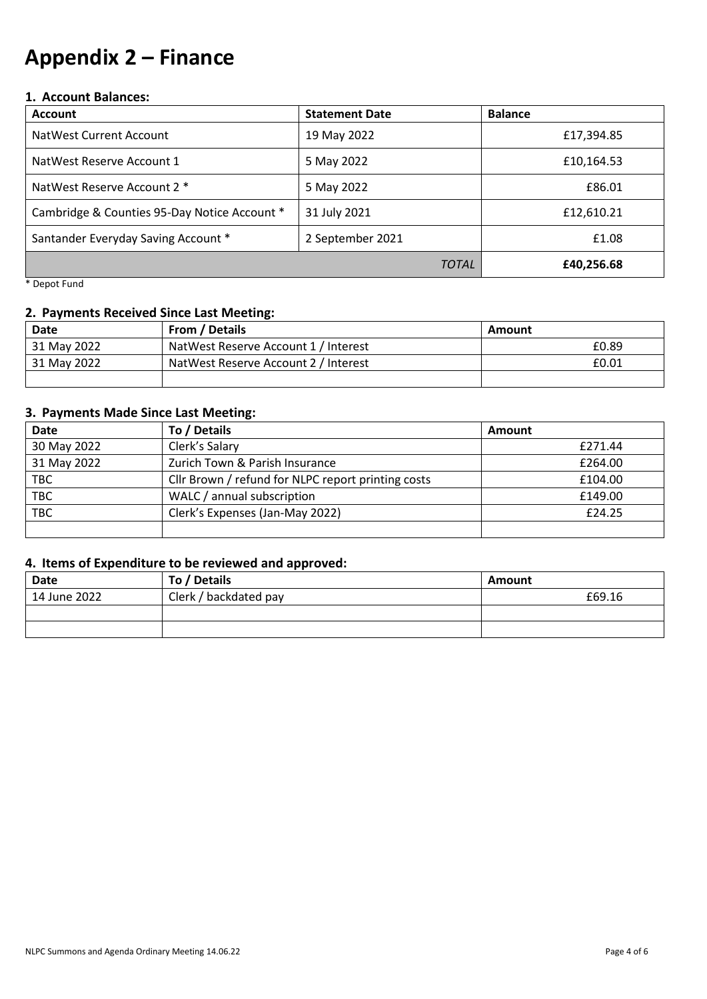## **Appendix 2 – Finance**

### **1. Account Balances:**

| <b>Account</b>                               | <b>Statement Date</b> | <b>Balance</b> |
|----------------------------------------------|-----------------------|----------------|
| NatWest Current Account                      | 19 May 2022           | £17,394.85     |
| NatWest Reserve Account 1                    | 5 May 2022            | £10,164.53     |
| NatWest Reserve Account 2 *                  | 5 May 2022            | £86.01         |
| Cambridge & Counties 95-Day Notice Account * | 31 July 2021          | £12,610.21     |
| Santander Everyday Saving Account *          | 2 September 2021      | £1.08          |
|                                              | <b>TOTAL</b>          | £40,256.68     |

\* Depot Fund

### **2. Payments Received Since Last Meeting:**

| <b>Date</b>                                         | From / Details                       | Amount |
|-----------------------------------------------------|--------------------------------------|--------|
| 31 May 2022                                         | NatWest Reserve Account 1 / Interest | £0.89  |
| NatWest Reserve Account 2 / Interest<br>31 May 2022 |                                      | £0.01  |
|                                                     |                                      |        |

### **3. Payments Made Since Last Meeting:**

| <b>Date</b> | To / Details                                       | Amount  |
|-------------|----------------------------------------------------|---------|
| 30 May 2022 | Clerk's Salary                                     | £271.44 |
| 31 May 2022 | Zurich Town & Parish Insurance                     | £264.00 |
| <b>TBC</b>  | Cllr Brown / refund for NLPC report printing costs | £104.00 |
| <b>TBC</b>  | WALC / annual subscription                         | £149.00 |
| <b>TBC</b>  | Clerk's Expenses (Jan-May 2022)                    | £24.25  |
|             |                                                    |         |

### **4. Items of Expenditure to be reviewed and approved:**

| Date         | To / Details          | Amount |
|--------------|-----------------------|--------|
| 14 June 2022 | Clerk / backdated pay | £69.16 |
|              |                       |        |
|              |                       |        |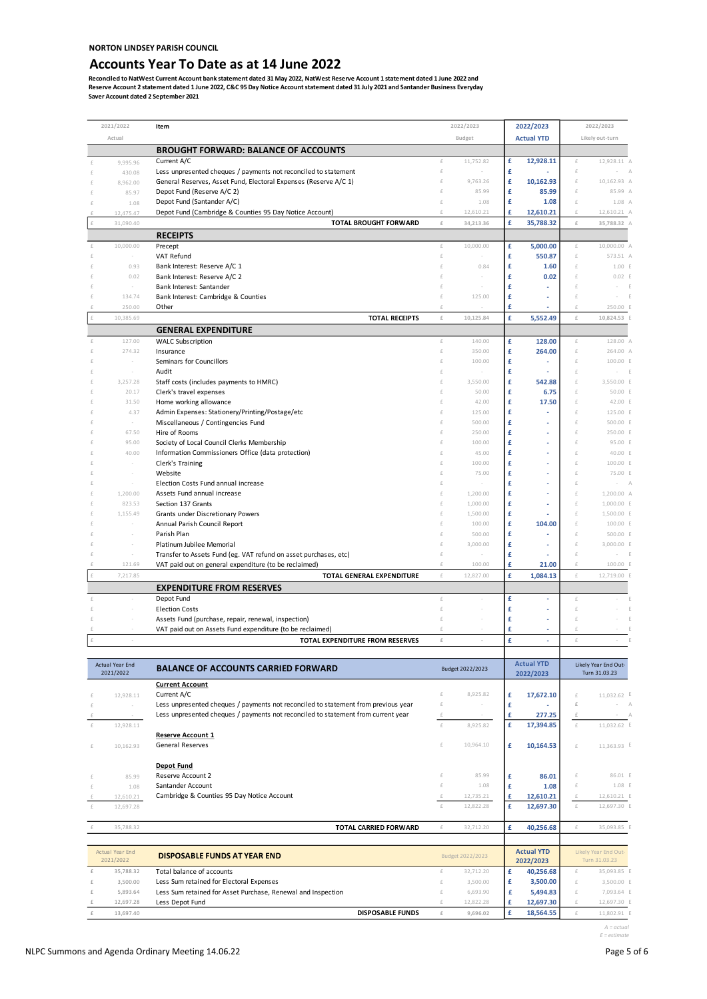### **Accounts Year To Date as at 14 June 2022**

Reconciled to NatWest Current Account bank statement dated 31 May 2022, NatWest Reserve Account 1 statement dated 1 June 2022 and<br>Reserve Account 2 statement dated 1 June 2022, C&C 95 Day Notice Account statement dated 31

|            | 2021/2022                        | Item                                                                                                                                |                | 2022/2023        |        | 2022/2023         |                | 2022/2023                             |
|------------|----------------------------------|-------------------------------------------------------------------------------------------------------------------------------------|----------------|------------------|--------|-------------------|----------------|---------------------------------------|
|            | Actual                           |                                                                                                                                     |                | Budget           |        | <b>Actual YTD</b> |                | Likely out-turn                       |
|            |                                  | <b>BROUGHT FORWARD: BALANCE OF ACCOUNTS</b>                                                                                         |                |                  |        |                   |                |                                       |
| £          | 9,995.96                         | Current A/C                                                                                                                         | $\in$          | 11,752.82        | £      | 12,928.11         | £              | 12,928.11 A                           |
| £          | 430.08                           | Less unpresented cheques / payments not reconciled to statement<br>General Reserves, Asset Fund, Electoral Expenses (Reserve A/C 1) | £<br>£         | 9,763.26         | £<br>£ | 10,162.93         | £<br>£         | 10,162.93 A                           |
| $\epsilon$ | 8,962.00<br>85.97                | Depot Fund (Reserve A/C 2)                                                                                                          | £              | 85.99            | £      | 85.99             | £              | 85.99 A                               |
|            | 1.08                             | Depot Fund (Santander A/C)                                                                                                          | £              | 1.08             | £      | 1.08              | £              | $1.08$ $\rho$                         |
|            | 12,475.47                        | Depot Fund (Cambridge & Counties 95 Day Notice Account)                                                                             | £              | 12,610.21        | £      | 12,610.21         | £              | 12,610.21 A                           |
| £          | 31,090.40                        | <b>TOTAL BROUGHT FORWARD</b>                                                                                                        | $\pounds$      | 34,213.36        | £      | 35,788.32         | £              | 35,788.32 A                           |
|            |                                  | <b>RECEIPTS</b>                                                                                                                     |                |                  |        |                   |                |                                       |
| £          | 10,000.00                        | Precept                                                                                                                             | £              | 10,000.00        | £      | 5,000.00          | £              | 10,000.00 A                           |
| £          |                                  | VAT Refund                                                                                                                          | £<br>£         |                  | £      | 550.87            | £<br>$\in$     | 573.51 A                              |
| £          | 0.93<br>0.02                     | Bank Interest: Reserve A/C 1<br>Bank Interest: Reserve A/C 2                                                                        |                | 0.84             | £<br>£ | 1.60<br>0.02      | £              | 1.00 E<br>0.02 E                      |
|            | $\sim$                           | Bank Interest: Santander                                                                                                            |                |                  | £      |                   | £              | E                                     |
| $\in$      | 134.74                           | Bank Interest: Cambridge & Counties                                                                                                 | £              | 125.00           | £      | ä,                | $\in$          |                                       |
| f          | 250.00                           | Other                                                                                                                               | £              |                  | £      | ä,                | $\in$          | 250.00 E                              |
| £          | 10,385.69                        | <b>TOTAL RECEIPTS</b>                                                                                                               | $\pounds$      | 10,125.84        | £      | 5,552.49          | £              | 10,824.53 E                           |
|            |                                  | <b>GENERAL EXPENDITURE</b>                                                                                                          |                |                  |        |                   |                |                                       |
| £          | 127.00                           | <b>WALC Subscription</b>                                                                                                            | $\pounds$      | 140.00           | £      | 128.00            | £              | 128.00 A                              |
| £<br>f     | 274.32                           | Insurance<br>Seminars for Councillors                                                                                               | £<br>£         | 350.00<br>100.00 | £<br>£ | 264.00            | £<br>$\in$     | 264.00 A<br>100.00 E                  |
|            |                                  | Audit                                                                                                                               | £              |                  | £      |                   | $\in$          | E                                     |
| f          | 3,257.28                         | Staff costs (includes payments to HMRC)                                                                                             |                | 3,550.00         | £      | 542.88            | $\in$          | 3.550.00 E                            |
|            | 20.17                            | Clerk's travel expenses                                                                                                             |                | 50.00            | £      | 6.75              | £              | 50.00 E                               |
| £          | 31.50                            | Home working allowance                                                                                                              |                | 42.00            | £      | 17.50             | £              | 42.00 E                               |
| f          | 4.37<br>$\overline{\phantom{a}}$ | Admin Expenses: Stationery/Printing/Postage/etc<br>Miscellaneous / Contingencies Fund                                               |                | 125.00<br>500.00 | £<br>£ | ä,                | $\in$<br>£     | 125.00 E<br>500.00 E                  |
| f          | 67.50                            | Hire of Rooms                                                                                                                       |                | 250.00           | £      | ä,                | $\in$          | 250.00 E                              |
|            | 95.00                            | Society of Local Council Clerks Membership                                                                                          |                | 100.00           | £      | ä,                | $\in$          | 95.00 E                               |
| f          | 40.00                            | Information Commissioners Office (data protection)                                                                                  |                | 45.00            | £      |                   | $\in$          | 40.00 E                               |
|            |                                  | Clerk's Training                                                                                                                    |                | 100.00           | £      |                   | £              | 100.00 E                              |
| f<br>f     |                                  | Website<br>Election Costs Fund annual increase                                                                                      |                | 75.00            | £<br>£ |                   | £<br>£         | 75.00 E                               |
|            | 1,200.00                         | Assets Fund annual increase                                                                                                         |                | 1,200.00         | £      |                   | £              | 1,200.00 A                            |
| £          | 823.53                           | Section 137 Grants                                                                                                                  | £              | 1,000.00         | £      |                   | £              | 1,000.00 E                            |
| f          | 1,155.49                         | Grants under Discretionary Powers                                                                                                   |                | 1,500.00         | £      |                   | $\in$          | 1,500.00 E                            |
| f          |                                  | Annual Parish Council Report                                                                                                        |                | 100.00           | £      | 104.00            | $\in$          | 100.00 E                              |
| f          |                                  | Parish Plan                                                                                                                         | £              | 500.00           | £      |                   | £<br>$\in$     | 500.00 E                              |
| £          |                                  | Platinum Jubilee Memorial<br>Transfer to Assets Fund (eg. VAT refund on asset purchases, etc)                                       | £              | 3,000.00         | £<br>£ |                   | £              | 3,000.00 E                            |
|            | 121.69                           | VAT paid out on general expenditure (to be reclaimed)                                                                               | £              | 100.00           | £      | 21.00             | £              | 100.00 E                              |
| £          | 7,217.85                         | <b>TOTAL GENERAL EXPENDITURE</b>                                                                                                    | $\pounds$      | 12,827.00        | £      | 1,084.13          | £              | 12,719.00 E                           |
|            |                                  | <b>EXPENDITURE FROM RESERVES</b>                                                                                                    |                |                  |        |                   |                |                                       |
| £          |                                  | Depot Fund                                                                                                                          | $\pounds$      |                  | £      | ä,                | £              |                                       |
| £          |                                  | <b>Election Costs</b>                                                                                                               | £              |                  | £      |                   | £              |                                       |
| £<br>£     |                                  | Assets Fund (purchase, repair, renewal, inspection)<br>VAT paid out on Assets Fund expenditure (to be reclaimed)                    | £<br>£         |                  | £<br>£ | ٠<br>٠            | £<br>£         | F                                     |
| £          | $\overline{\phantom{a}}$         | TOTAL EXPENDITURE FROM RESERVES                                                                                                     | $\pounds$      | $\sim$           | £      | ٠                 | £              | Æ<br>$\sim$                           |
|            |                                  |                                                                                                                                     |                |                  |        |                   |                |                                       |
|            | Actual Year End                  |                                                                                                                                     |                |                  |        | <b>Actual YTD</b> |                | Likely Year End Out-                  |
|            | 2021/2022                        | <b>BALANCE OF ACCOUNTS CARRIED FORWARD</b>                                                                                          |                | Budget 2022/2023 |        | 2022/2023         |                | Turn 31.03.23                         |
|            |                                  | <b>Current Account</b>                                                                                                              |                |                  |        |                   |                |                                       |
| £          | 12,928.11                        | Current A/C<br>Less unpresented cheques / payments not reconciled to statement from previous year                                   | £<br>$\pounds$ | 8,925.82         | £<br>£ | 17,672.10         | $\in$<br>£     | 11,032.62 E<br>$\wedge$               |
| £<br>£     |                                  | Less unpresented cheques / payments not reconciled to statement from current year                                                   | $\pounds$      | $\sim$           | £      | 277.25            | $\pounds$      | $\overline{A}$                        |
| £          | 12,928.11                        |                                                                                                                                     | £              | 8,925.82         | £      | 17,394.85         | £              | 11,032.62 E                           |
|            |                                  | <b>Reserve Account 1</b>                                                                                                            |                |                  |        |                   |                |                                       |
| £          | 10,162.93                        | <b>General Reserves</b>                                                                                                             | £              | 10,964.10        | £      | 10,164.53         | £              | 11,363.93 E                           |
|            |                                  |                                                                                                                                     |                |                  |        |                   |                |                                       |
| £          | 85.99                            | <b>Depot Fund</b><br>Reserve Account 2                                                                                              | £              | 85.99            | £      | 86.01             | £              | 86.01 E                               |
| £          | 1.08                             | Santander Account                                                                                                                   | £              | 1.08             | £      | 1.08              | £              | 1.08 E                                |
|            | 12,610.21                        | Cambridge & Counties 95 Day Notice Account                                                                                          | £              | 12,735.21        | £      | 12,610.21         | £              | 12,610.21 E                           |
| £          | 12,697.28                        |                                                                                                                                     | $\pounds$      | 12,822.28        | £      | 12,697.30         | £              | 12,697.30 E                           |
|            |                                  |                                                                                                                                     |                |                  |        |                   |                |                                       |
|            | 35,788.32                        | TOTAL CARRIED FORWARD                                                                                                               | $\pounds$      | 32,712.20        | £      | 40,256.68         | $\pounds$      | 35,093.85 E                           |
|            |                                  |                                                                                                                                     |                |                  |        | <b>Actual YTD</b> |                |                                       |
|            | Actual Year End<br>2021/2022     | <b>DISPOSABLE FUNDS AT YEAR END</b>                                                                                                 |                | Budget 2022/2023 |        | 2022/2023         |                | Likely Year End Out-<br>Turn 31.03.23 |
| $\pounds$  | 35,788.32                        | Total balance of accounts                                                                                                           | £              | 32,712.20        | £      | 40,256.68         | £              | 35,093.85 E                           |
| £          | 3,500.00                         | Less Sum retained for Electoral Expenses                                                                                            | £              | 3,500.00         | £      | 3,500.00          | £              | 3,500.00 E                            |
| £          | 5,893.64                         | Less Sum retained for Asset Purchase, Renewal and Inspection                                                                        | £              | 6,693.90         | £      | 5,494.83          | £              | 7,093.64 E                            |
| £<br>£     | 12,697.28<br>13,697.40           | Less Depot Fund                                                                                                                     | £<br>$\pounds$ | 12,822.28        | £<br>£ | 12,697.30         | £<br>$\pounds$ | 12,697.30 E                           |
|            |                                  | <b>DISPOSABLE FUNDS</b>                                                                                                             |                | 9,696.02         |        | 18,564.55         |                | 11,802.91 E                           |

*A = actual E = estimate*